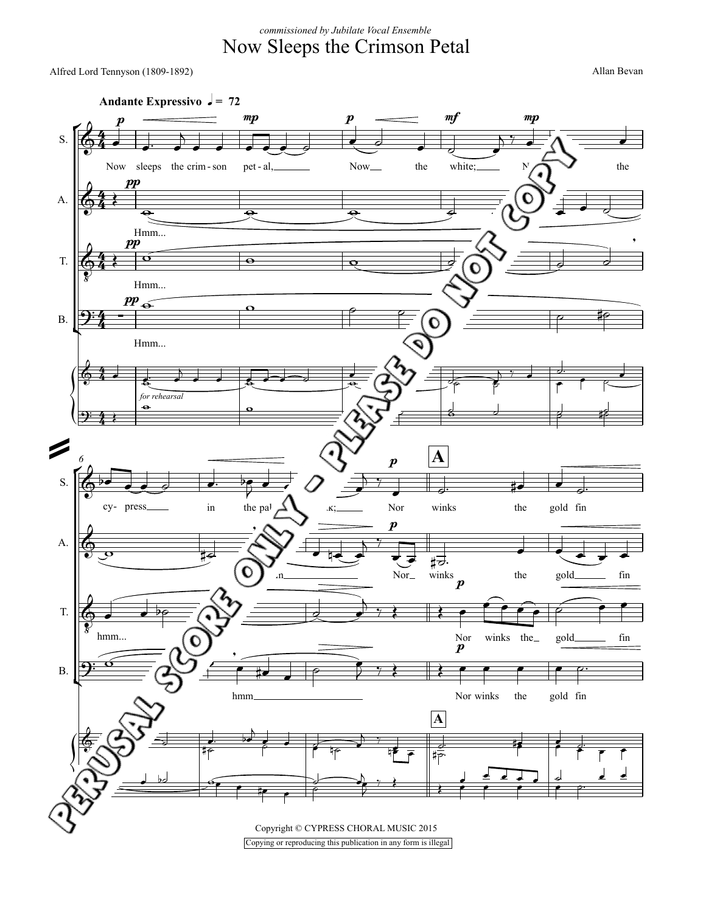## Now Sleeps the Crimson Petal *commissioned by Jubilate Vocal Ensemble*

Alfred Lord Tennyson (1809-1892)

Allan Bevan

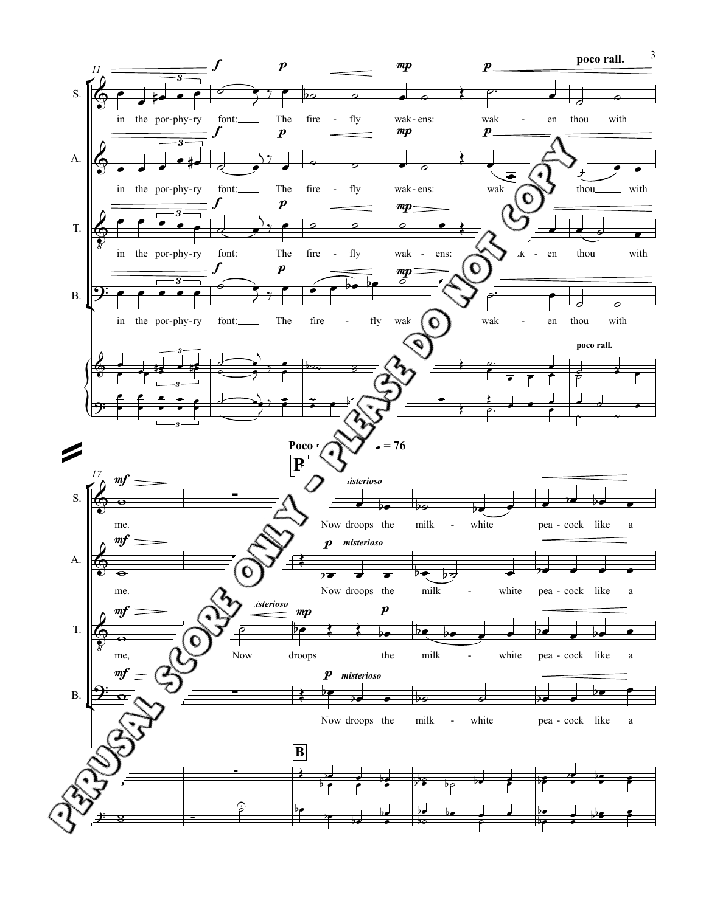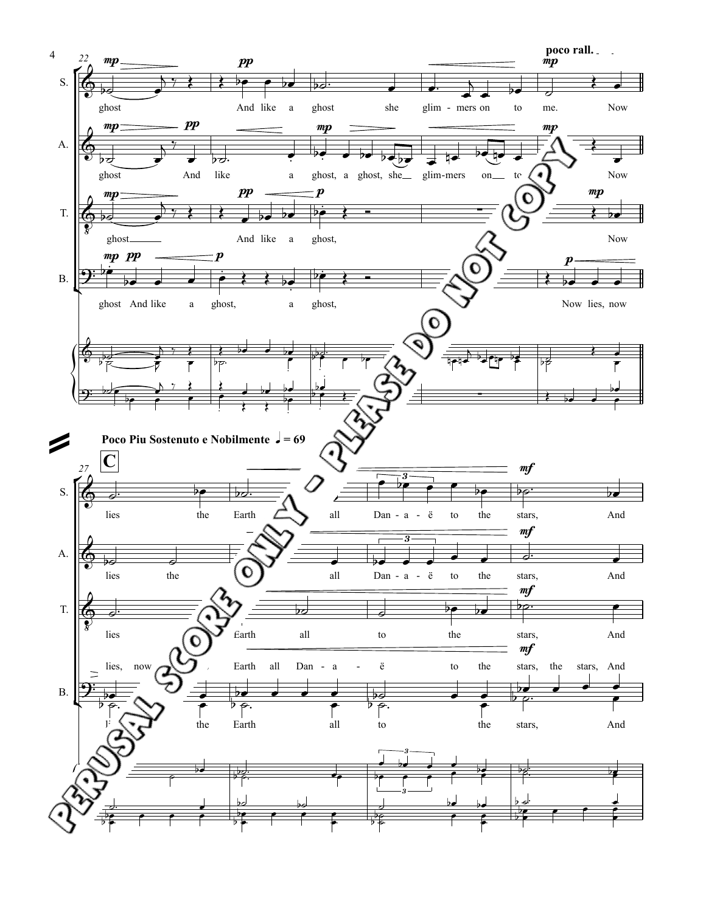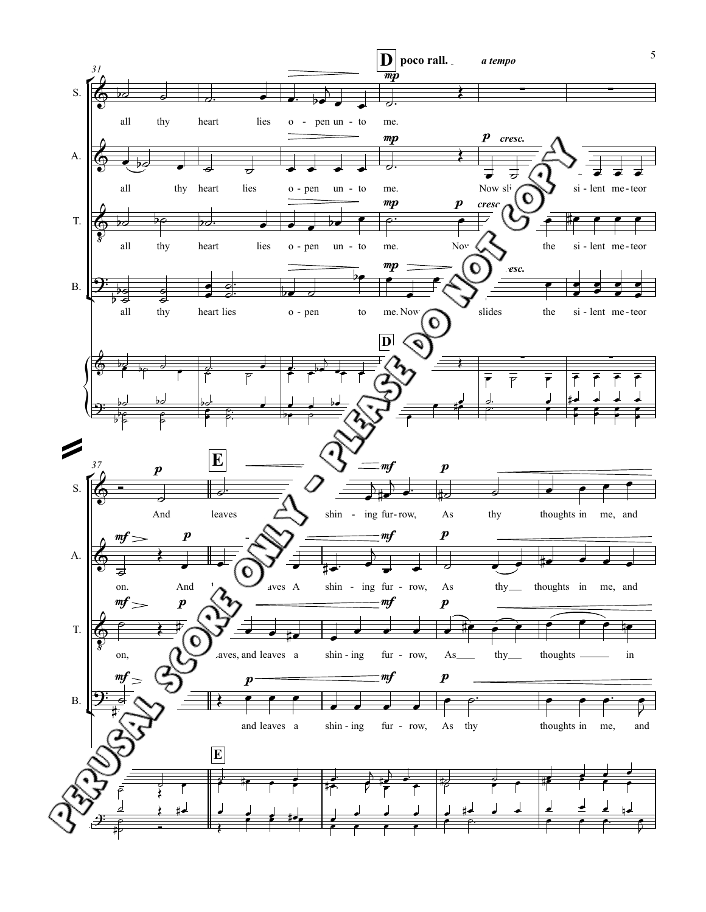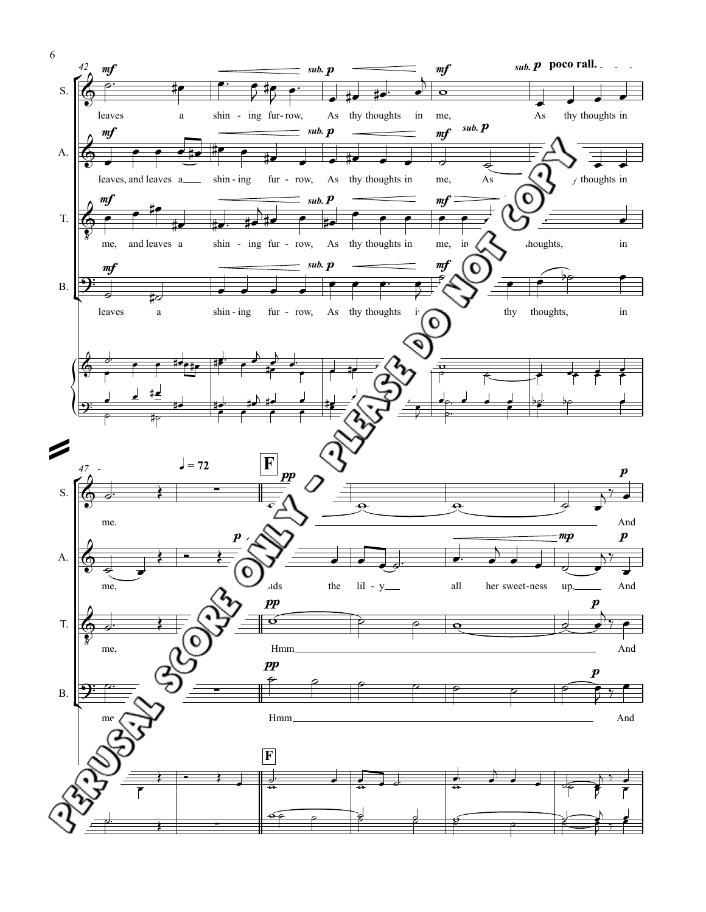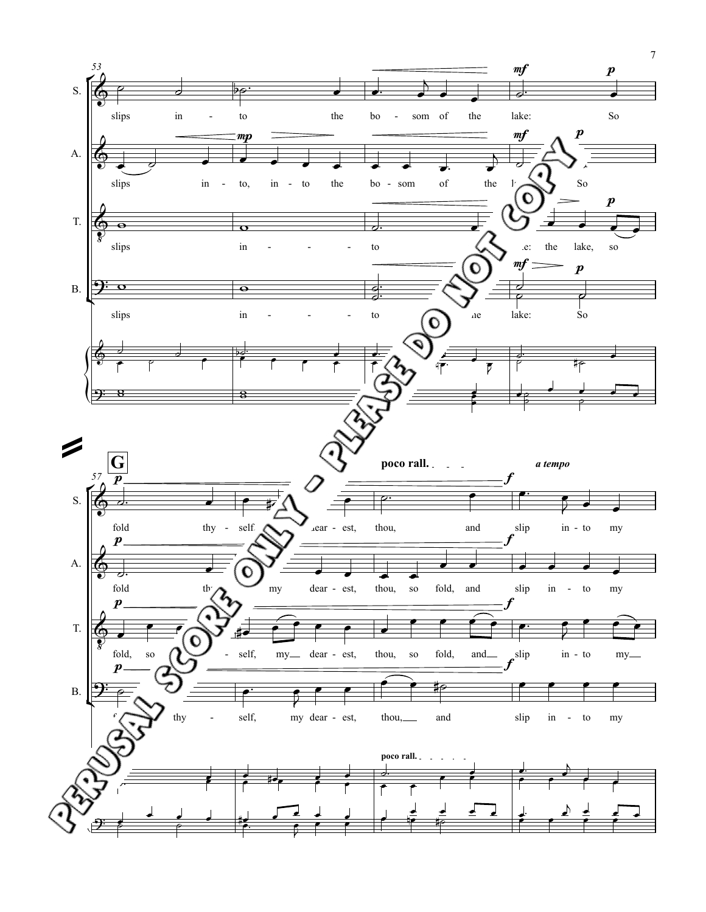

7